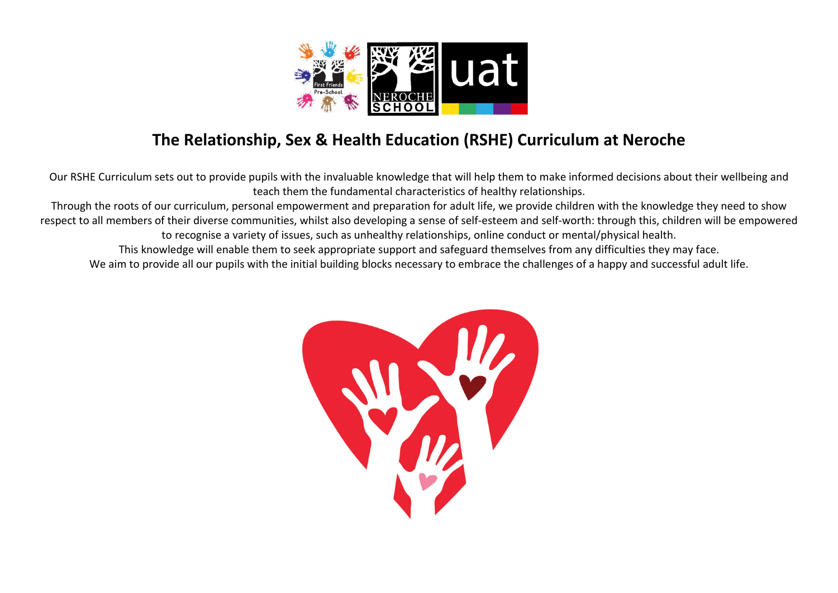

## The Relationship, Sex & Health Education (RSHE) Curriculum at Neroche

Our RSHE Curriculum sets out to provide pupils with the invaluable knowledge that will help them to make informed decisions about their wellbeing and teach them the fundamental characteristics of healthy relationships.

Through the roots of our curriculum, personal empowerment and preparation for adult life, we provide children with the knowledge they need to show respect to all members of their diverse communities, whilst also developing a sense of self-esteem and self-worth: through this, children will be empowered to recognise a variety of issues, such as unhealthy relationships, online conduct or mental/physical health.

This knowledge will enable them to seek appropriate support and safeguard themselves from any difficulties they may face.

We aim to provide all our pupils with the initial building blocks necessary to embrace the challenges of a happy and successful adult life.

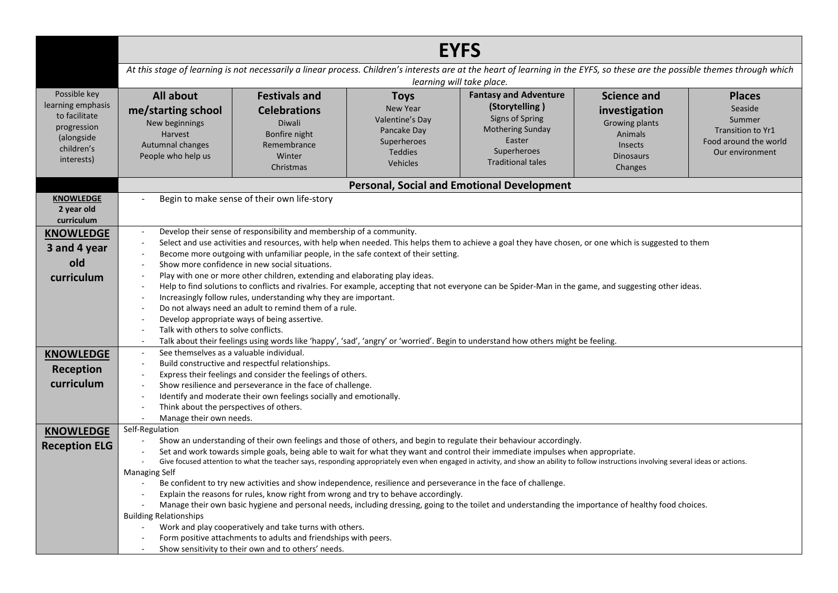|                                                                                                             | <b>EYFS</b>                                                                                                                                                                                                                                                                                                            |                                                                                                                                                                                                                                                                                                                                                                                                                                                                                                                                                                                                                                                                                                                                 |                                                                                                               |                                                                                                                                                                                                                                                                                                                                                                                                                                                                                                                                                                                                           |                                                                                                                   |                                                                                                     |
|-------------------------------------------------------------------------------------------------------------|------------------------------------------------------------------------------------------------------------------------------------------------------------------------------------------------------------------------------------------------------------------------------------------------------------------------|---------------------------------------------------------------------------------------------------------------------------------------------------------------------------------------------------------------------------------------------------------------------------------------------------------------------------------------------------------------------------------------------------------------------------------------------------------------------------------------------------------------------------------------------------------------------------------------------------------------------------------------------------------------------------------------------------------------------------------|---------------------------------------------------------------------------------------------------------------|-----------------------------------------------------------------------------------------------------------------------------------------------------------------------------------------------------------------------------------------------------------------------------------------------------------------------------------------------------------------------------------------------------------------------------------------------------------------------------------------------------------------------------------------------------------------------------------------------------------|-------------------------------------------------------------------------------------------------------------------|-----------------------------------------------------------------------------------------------------|
|                                                                                                             |                                                                                                                                                                                                                                                                                                                        |                                                                                                                                                                                                                                                                                                                                                                                                                                                                                                                                                                                                                                                                                                                                 |                                                                                                               | At this stage of learning is not necessarily a linear process. Children's interests are at the heart of learning in the EYFS, so these are the possible themes through which<br>learning will take place.                                                                                                                                                                                                                                                                                                                                                                                                 |                                                                                                                   |                                                                                                     |
| Possible key<br>learning emphasis<br>to facilitate<br>progression<br>(alongside<br>children's<br>interests) | <b>All about</b><br>me/starting school<br>New beginnings<br>Harvest<br>Autumnal changes<br>People who help us                                                                                                                                                                                                          | <b>Festivals and</b><br><b>Celebrations</b><br>Diwali<br>Bonfire night<br>Remembrance<br>Winter<br>Christmas                                                                                                                                                                                                                                                                                                                                                                                                                                                                                                                                                                                                                    | <b>Toys</b><br><b>New Year</b><br>Valentine's Day<br>Pancake Day<br>Superheroes<br><b>Teddies</b><br>Vehicles | <b>Fantasy and Adventure</b><br>(Storytelling)<br>Signs of Spring<br><b>Mothering Sunday</b><br>Easter<br>Superheroes<br><b>Traditional tales</b>                                                                                                                                                                                                                                                                                                                                                                                                                                                         | <b>Science and</b><br>investigation<br>Growing plants<br>Animals<br><b>Insects</b><br><b>Dinosaurs</b><br>Changes | <b>Places</b><br>Seaside<br>Summer<br>Transition to Yr1<br>Food around the world<br>Our environment |
|                                                                                                             |                                                                                                                                                                                                                                                                                                                        |                                                                                                                                                                                                                                                                                                                                                                                                                                                                                                                                                                                                                                                                                                                                 |                                                                                                               | <b>Personal, Social and Emotional Development</b>                                                                                                                                                                                                                                                                                                                                                                                                                                                                                                                                                         |                                                                                                                   |                                                                                                     |
| <b>KNOWLEDGE</b><br>2 year old<br>curriculum                                                                |                                                                                                                                                                                                                                                                                                                        | Begin to make sense of their own life-story                                                                                                                                                                                                                                                                                                                                                                                                                                                                                                                                                                                                                                                                                     |                                                                                                               |                                                                                                                                                                                                                                                                                                                                                                                                                                                                                                                                                                                                           |                                                                                                                   |                                                                                                     |
| <b>KNOWLEDGE</b><br>3 and 4 year<br>old<br>curriculum<br><b>KNOWLEDGE</b><br>Reception<br>curriculum        | $\sim$<br>$\sim$<br>$\sim$<br>Talk with others to solve conflicts.<br>See themselves as a valuable individual.<br>$\overline{\phantom{a}}$<br>$\overline{\phantom{a}}$<br>$\overline{\phantom{a}}$<br>$\overline{\phantom{a}}$<br>Think about the perspectives of others.<br>Manage their own needs.<br>$\mathbb{Z}^2$ | Develop their sense of responsibility and membership of a community.<br>Become more outgoing with unfamiliar people, in the safe context of their setting.<br>Show more confidence in new social situations.<br>Play with one or more other children, extending and elaborating play ideas.<br>Increasingly follow rules, understanding why they are important.<br>Do not always need an adult to remind them of a rule.<br>Develop appropriate ways of being assertive.<br>Build constructive and respectful relationships.<br>Express their feelings and consider the feelings of others.<br>Show resilience and perseverance in the face of challenge.<br>Identify and moderate their own feelings socially and emotionally. |                                                                                                               | Select and use activities and resources, with help when needed. This helps them to achieve a goal they have chosen, or one which is suggested to them<br>Help to find solutions to conflicts and rivalries. For example, accepting that not everyone can be Spider-Man in the game, and suggesting other ideas.<br>Talk about their feelings using words like 'happy', 'sad', 'angry' or 'worried'. Begin to understand how others might be feeling.                                                                                                                                                      |                                                                                                                   |                                                                                                     |
| <b>KNOWLEDGE</b><br><b>Reception ELG</b>                                                                    | Self-Regulation<br>$\overline{\phantom{a}}$<br><b>Managing Self</b><br>$\overline{\phantom{a}}$<br><b>Building Relationships</b>                                                                                                                                                                                       | Be confident to try new activities and show independence, resilience and perseverance in the face of challenge.<br>Explain the reasons for rules, know right from wrong and try to behave accordingly.<br>Work and play cooperatively and take turns with others.<br>Form positive attachments to adults and friendships with peers.<br>Show sensitivity to their own and to others' needs.                                                                                                                                                                                                                                                                                                                                     |                                                                                                               | Show an understanding of their own feelings and those of others, and begin to regulate their behaviour accordingly.<br>Set and work towards simple goals, being able to wait for what they want and control their immediate impulses when appropriate.<br>Give focused attention to what the teacher says, responding appropriately even when engaged in activity, and show an ability to follow instructions involving several ideas or actions.<br>Manage their own basic hygiene and personal needs, including dressing, going to the toilet and understanding the importance of healthy food choices. |                                                                                                                   |                                                                                                     |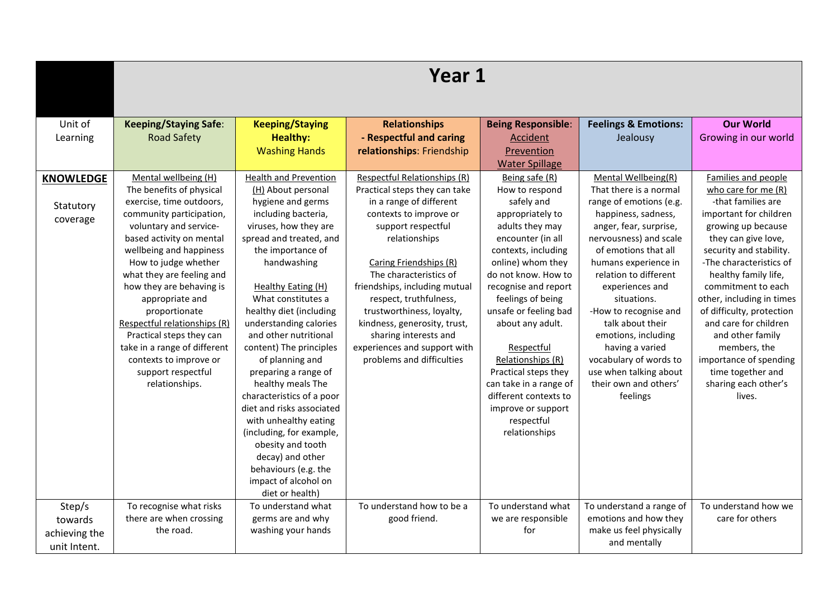|                  | Year 1                       |                              |                               |                           |                                 |                           |  |
|------------------|------------------------------|------------------------------|-------------------------------|---------------------------|---------------------------------|---------------------------|--|
|                  |                              |                              |                               |                           |                                 |                           |  |
| Unit of          | <b>Keeping/Staying Safe:</b> | <b>Keeping/Staying</b>       | <b>Relationships</b>          | <b>Being Responsible:</b> | <b>Feelings &amp; Emotions:</b> | <b>Our World</b>          |  |
| Learning         | <b>Road Safety</b>           | <b>Healthy:</b>              | - Respectful and caring       | Accident                  | Jealousy                        | Growing in our world      |  |
|                  |                              | <b>Washing Hands</b>         | relationships: Friendship     | Prevention                |                                 |                           |  |
|                  |                              |                              |                               | <b>Water Spillage</b>     |                                 |                           |  |
| <b>KNOWLEDGE</b> | Mental wellbeing (H)         | <b>Health and Prevention</b> | Respectful Relationships (R)  | Being safe (R)            | Mental Wellbeing(R)             | Families and people       |  |
|                  | The benefits of physical     | (H) About personal           | Practical steps they can take | How to respond            | That there is a normal          | who care for me $(R)$     |  |
| Statutory        | exercise, time outdoors,     | hygiene and germs            | in a range of different       | safely and                | range of emotions (e.g.         | -that families are        |  |
| coverage         | community participation,     | including bacteria,          | contexts to improve or        | appropriately to          | happiness, sadness,             | important for children    |  |
|                  | voluntary and service-       | viruses, how they are        | support respectful            | adults they may           | anger, fear, surprise,          | growing up because        |  |
|                  | based activity on mental     | spread and treated, and      | relationships                 | encounter (in all         | nervousness) and scale          | they can give love,       |  |
|                  | wellbeing and happiness      | the importance of            |                               | contexts, including       | of emotions that all            | security and stability.   |  |
|                  | How to judge whether         | handwashing                  | Caring Friendships (R)        | online) whom they         | humans experience in            | -The characteristics of   |  |
|                  | what they are feeling and    |                              | The characteristics of        | do not know. How to       | relation to different           | healthy family life,      |  |
|                  | how they are behaving is     | Healthy Eating (H)           | friendships, including mutual | recognise and report      | experiences and                 | commitment to each        |  |
|                  | appropriate and              | What constitutes a           | respect, truthfulness,        | feelings of being         | situations.                     | other, including in times |  |
|                  | proportionate                | healthy diet (including      | trustworthiness, loyalty,     | unsafe or feeling bad     | -How to recognise and           | of difficulty, protection |  |
|                  | Respectful relationships (R) | understanding calories       | kindness, generosity, trust,  | about any adult.          | talk about their                | and care for children     |  |
|                  | Practical steps they can     | and other nutritional        | sharing interests and         |                           | emotions, including             | and other family          |  |
|                  | take in a range of different | content) The principles      | experiences and support with  | Respectful                | having a varied                 | members, the              |  |
|                  | contexts to improve or       | of planning and              | problems and difficulties     | Relationships (R)         | vocabulary of words to          | importance of spending    |  |
|                  | support respectful           | preparing a range of         |                               | Practical steps they      | use when talking about          | time together and         |  |
|                  | relationships.               | healthy meals The            |                               | can take in a range of    | their own and others'           | sharing each other's      |  |
|                  |                              | characteristics of a poor    |                               | different contexts to     | feelings                        | lives.                    |  |
|                  |                              | diet and risks associated    |                               | improve or support        |                                 |                           |  |
|                  |                              | with unhealthy eating        |                               | respectful                |                                 |                           |  |
|                  |                              | (including, for example,     |                               | relationships             |                                 |                           |  |
|                  |                              | obesity and tooth            |                               |                           |                                 |                           |  |
|                  |                              | decay) and other             |                               |                           |                                 |                           |  |
|                  |                              | behaviours (e.g. the         |                               |                           |                                 |                           |  |
|                  |                              | impact of alcohol on         |                               |                           |                                 |                           |  |
|                  |                              | diet or health)              |                               |                           |                                 |                           |  |
| Step/s           | To recognise what risks      | To understand what           | To understand how to be a     | To understand what        | To understand a range of        | To understand how we      |  |
| towards          | there are when crossing      | germs are and why            | good friend.                  | we are responsible        | emotions and how they           | care for others           |  |
| achieving the    | the road.                    | washing your hands           |                               | for                       | make us feel physically         |                           |  |
| unit Intent.     |                              |                              |                               |                           | and mentally                    |                           |  |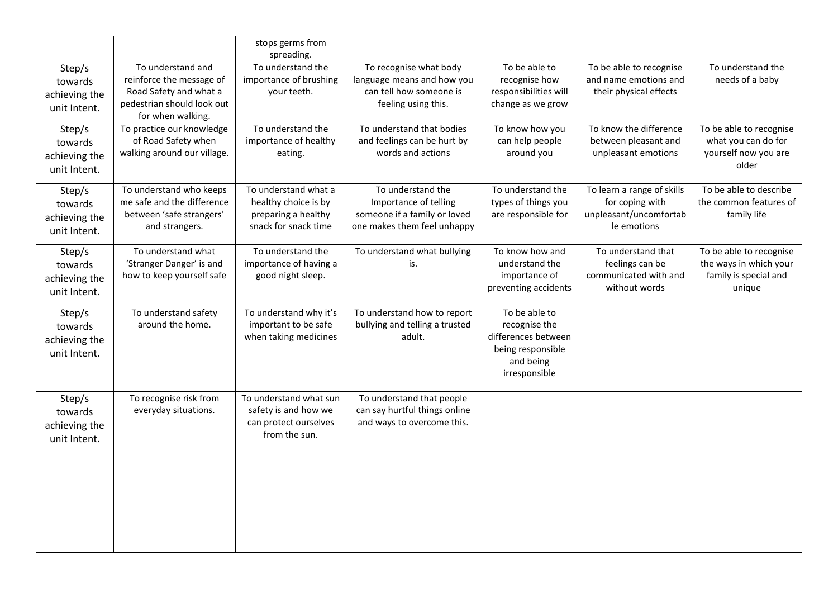|                                                    |                                                                                                                            | stops germs from<br>spreading.                                                              |                                                                                                           |                                                                                                          |                                                                                        |                                                                                      |
|----------------------------------------------------|----------------------------------------------------------------------------------------------------------------------------|---------------------------------------------------------------------------------------------|-----------------------------------------------------------------------------------------------------------|----------------------------------------------------------------------------------------------------------|----------------------------------------------------------------------------------------|--------------------------------------------------------------------------------------|
| Step/s<br>towards<br>achieving the<br>unit Intent. | To understand and<br>reinforce the message of<br>Road Safety and what a<br>pedestrian should look out<br>for when walking. | To understand the<br>importance of brushing<br>your teeth.                                  | To recognise what body<br>language means and how you<br>can tell how someone is<br>feeling using this.    | To be able to<br>recognise how<br>responsibilities will<br>change as we grow                             | To be able to recognise<br>and name emotions and<br>their physical effects             | To understand the<br>needs of a baby                                                 |
| Step/s<br>towards<br>achieving the<br>unit Intent. | To practice our knowledge<br>of Road Safety when<br>walking around our village.                                            | To understand the<br>importance of healthy<br>eating.                                       | To understand that bodies<br>and feelings can be hurt by<br>words and actions                             | To know how you<br>can help people<br>around you                                                         | To know the difference<br>between pleasant and<br>unpleasant emotions                  | To be able to recognise<br>what you can do for<br>yourself now you are<br>older      |
| Step/s<br>towards<br>achieving the<br>unit Intent. | To understand who keeps<br>me safe and the difference<br>between 'safe strangers'<br>and strangers.                        | To understand what a<br>healthy choice is by<br>preparing a healthy<br>snack for snack time | To understand the<br>Importance of telling<br>someone if a family or loved<br>one makes them feel unhappy | To understand the<br>types of things you<br>are responsible for                                          | To learn a range of skills<br>for coping with<br>unpleasant/uncomfortab<br>le emotions | To be able to describe<br>the common features of<br>family life                      |
| Step/s<br>towards<br>achieving the<br>unit Intent. | To understand what<br>'Stranger Danger' is and<br>how to keep yourself safe                                                | To understand the<br>importance of having a<br>good night sleep.                            | To understand what bullying<br>is.                                                                        | To know how and<br>understand the<br>importance of<br>preventing accidents                               | To understand that<br>feelings can be<br>communicated with and<br>without words        | To be able to recognise<br>the ways in which your<br>family is special and<br>unique |
| Step/s<br>towards<br>achieving the<br>unit Intent. | To understand safety<br>around the home.                                                                                   | To understand why it's<br>important to be safe<br>when taking medicines                     | To understand how to report<br>bullying and telling a trusted<br>adult.                                   | To be able to<br>recognise the<br>differences between<br>being responsible<br>and being<br>irresponsible |                                                                                        |                                                                                      |
| Step/s<br>towards<br>achieving the<br>unit Intent. | To recognise risk from<br>everyday situations.                                                                             | To understand what sun<br>safety is and how we<br>can protect ourselves<br>from the sun.    | To understand that people<br>can say hurtful things online<br>and ways to overcome this.                  |                                                                                                          |                                                                                        |                                                                                      |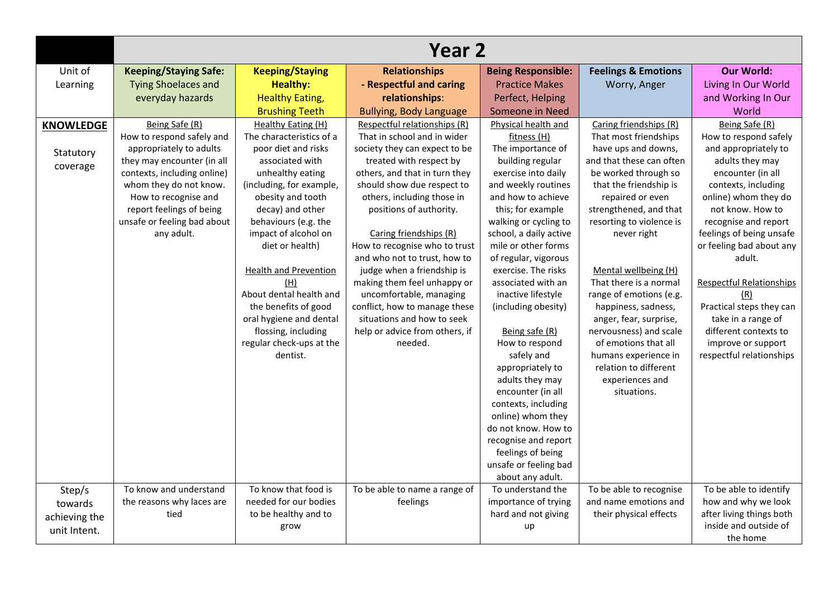|                  | Year 2                       |                              |                                |                                     |                                |                                 |  |
|------------------|------------------------------|------------------------------|--------------------------------|-------------------------------------|--------------------------------|---------------------------------|--|
| Unit of          | <b>Keeping/Staying Safe:</b> | <b>Keeping/Staying</b>       | <b>Relationships</b>           | <b>Being Responsible:</b>           | <b>Feelings &amp; Emotions</b> | <b>Our World:</b>               |  |
| Learning         | <b>Tying Shoelaces and</b>   | <b>Healthy:</b>              | - Respectful and caring        | <b>Practice Makes</b>               | Worry, Anger                   | Living In Our World             |  |
|                  | everyday hazards             | <b>Healthy Eating,</b>       | relationships:                 | Perfect, Helping                    |                                | and Working In Our              |  |
|                  |                              | <b>Brushing Teeth</b>        | <b>Bullying, Body Language</b> | Someone in Need                     |                                | World                           |  |
| <b>KNOWLEDGE</b> | Being Safe (R)               | Healthy Eating (H)           | Respectful relationships (R)   | Physical health and                 | Caring friendships (R)         | Being Safe (R)                  |  |
|                  | How to respond safely and    | The characteristics of a     | That in school and in wider    | fitness (H)                         | That most friendships          | How to respond safely           |  |
| Statutory        | appropriately to adults      | poor diet and risks          | society they can expect to be  | The importance of                   | have ups and downs,            | and appropriately to            |  |
| coverage         | they may encounter (in all   | associated with              | treated with respect by        | building regular                    | and that these can often       | adults they may                 |  |
|                  | contexts, including online)  | unhealthy eating             | others, and that in turn they  | exercise into daily                 | be worked through so           | encounter (in all               |  |
|                  | whom they do not know.       | (including, for example,     | should show due respect to     | and weekly routines                 | that the friendship is         | contexts, including             |  |
|                  | How to recognise and         | obesity and tooth            | others, including those in     | and how to achieve                  | repaired or even               | online) whom they do            |  |
|                  | report feelings of being     | decay) and other             | positions of authority.        | this; for example                   | strengthened, and that         | not know. How to                |  |
|                  | unsafe or feeling bad about  | behaviours (e.g. the         |                                | walking or cycling to               | resorting to violence is       | recognise and report            |  |
|                  | any adult.                   | impact of alcohol on         | Caring friendships (R)         | school, a daily active              | never right                    | feelings of being unsafe        |  |
|                  |                              | diet or health)              | How to recognise who to trust  | mile or other forms                 |                                | or feeling bad about any        |  |
|                  |                              |                              | and who not to trust, how to   | of regular, vigorous                |                                | adult.                          |  |
|                  |                              | <b>Health and Prevention</b> | judge when a friendship is     | exercise. The risks                 | Mental wellbeing (H)           |                                 |  |
|                  |                              | (H)                          | making them feel unhappy or    | associated with an                  | That there is a normal         | <b>Respectful Relationships</b> |  |
|                  |                              | About dental health and      | uncomfortable, managing        | inactive lifestyle                  | range of emotions (e.g.        | (R)                             |  |
|                  |                              | the benefits of good         | conflict, how to manage these  | (including obesity)                 | happiness, sadness,            | Practical steps they can        |  |
|                  |                              | oral hygiene and dental      | situations and how to seek     |                                     | anger, fear, surprise,         | take in a range of              |  |
|                  |                              | flossing, including          | help or advice from others, if | Being safe (R)                      | nervousness) and scale         | different contexts to           |  |
|                  |                              | regular check-ups at the     | needed.                        | How to respond                      | of emotions that all           | improve or support              |  |
|                  |                              | dentist.                     |                                | safely and                          | humans experience in           | respectful relationships        |  |
|                  |                              |                              |                                | appropriately to<br>adults they may | relation to different          |                                 |  |
|                  |                              |                              |                                | encounter (in all                   | experiences and<br>situations. |                                 |  |
|                  |                              |                              |                                | contexts, including                 |                                |                                 |  |
|                  |                              |                              |                                | online) whom they                   |                                |                                 |  |
|                  |                              |                              |                                | do not know. How to                 |                                |                                 |  |
|                  |                              |                              |                                | recognise and report                |                                |                                 |  |
|                  |                              |                              |                                | feelings of being                   |                                |                                 |  |
|                  |                              |                              |                                | unsafe or feeling bad               |                                |                                 |  |
|                  |                              |                              |                                | about any adult.                    |                                |                                 |  |
| Step/s           | To know and understand       | To know that food is         | To be able to name a range of  | To understand the                   | To be able to recognise        | To be able to identify          |  |
| towards          | the reasons why laces are    | needed for our bodies        | feelings                       | importance of trying                | and name emotions and          | how and why we look             |  |
| achieving the    | tied                         | to be healthy and to         |                                | hard and not giving                 | their physical effects         | after living things both        |  |
|                  |                              | grow                         |                                | up                                  |                                | inside and outside of           |  |
| unit Intent.     |                              |                              |                                |                                     |                                | the home                        |  |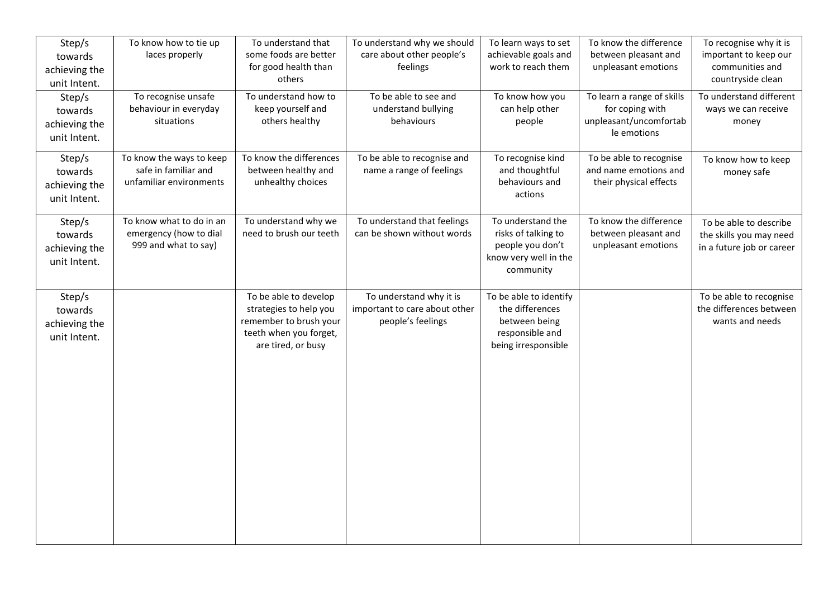| Step/s<br>towards<br>achieving the<br>unit Intent. | To know how to tie up<br>laces properly                                     | To understand that<br>some foods are better<br>for good health than<br>others                                             | To understand why we should<br>care about other people's<br>feelings          | To learn ways to set<br>achievable goals and<br>work to reach them                                   | To know the difference<br>between pleasant and<br>unpleasant emotions                  | To recognise why it is<br>important to keep our<br>communities and<br>countryside clean |
|----------------------------------------------------|-----------------------------------------------------------------------------|---------------------------------------------------------------------------------------------------------------------------|-------------------------------------------------------------------------------|------------------------------------------------------------------------------------------------------|----------------------------------------------------------------------------------------|-----------------------------------------------------------------------------------------|
| Step/s<br>towards<br>achieving the<br>unit Intent. | To recognise unsafe<br>behaviour in everyday<br>situations                  | To understand how to<br>keep yourself and<br>others healthy                                                               | To be able to see and<br>understand bullying<br>behaviours                    | To know how you<br>can help other<br>people                                                          | To learn a range of skills<br>for coping with<br>unpleasant/uncomfortab<br>le emotions | To understand different<br>ways we can receive<br>money                                 |
| Step/s<br>towards<br>achieving the<br>unit Intent. | To know the ways to keep<br>safe in familiar and<br>unfamiliar environments | To know the differences<br>between healthy and<br>unhealthy choices                                                       | To be able to recognise and<br>name a range of feelings                       | To recognise kind<br>and thoughtful<br>behaviours and<br>actions                                     | To be able to recognise<br>and name emotions and<br>their physical effects             | To know how to keep<br>money safe                                                       |
| Step/s<br>towards<br>achieving the<br>unit Intent. | To know what to do in an<br>emergency (how to dial<br>999 and what to say)  | To understand why we<br>need to brush our teeth                                                                           | To understand that feelings<br>can be shown without words                     | To understand the<br>risks of talking to<br>people you don't<br>know very well in the<br>community   | To know the difference<br>between pleasant and<br>unpleasant emotions                  | To be able to describe<br>the skills you may need<br>in a future job or career          |
| Step/s<br>towards<br>achieving the<br>unit Intent. |                                                                             | To be able to develop<br>strategies to help you<br>remember to brush your<br>teeth when you forget,<br>are tired, or busy | To understand why it is<br>important to care about other<br>people's feelings | To be able to identify<br>the differences<br>between being<br>responsible and<br>being irresponsible |                                                                                        | To be able to recognise<br>the differences between<br>wants and needs                   |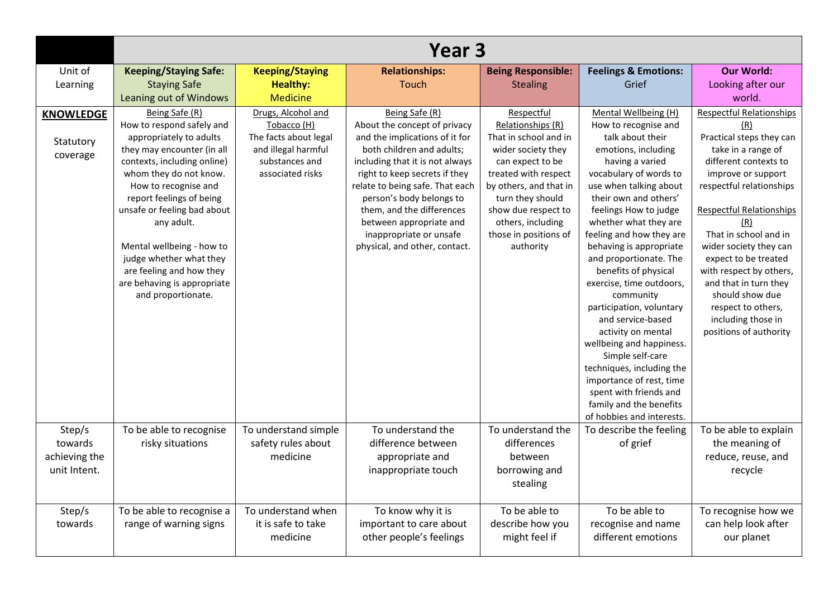|                                                    | Year <sub>3</sub>                                                                                                                                                                                                                                                                                                                                                                                       |                                                                                                                         |                                                                                                                                                                                                                                                                                                                                                                      |                                                                                                                                                                                                                                                            |                                                                                                                                                                                                                                                                                                                                                                                                                                                                                                                                                                                                                                                               |                                                                                                                                                                                                                                                                                                                                                                                                                                       |  |
|----------------------------------------------------|---------------------------------------------------------------------------------------------------------------------------------------------------------------------------------------------------------------------------------------------------------------------------------------------------------------------------------------------------------------------------------------------------------|-------------------------------------------------------------------------------------------------------------------------|----------------------------------------------------------------------------------------------------------------------------------------------------------------------------------------------------------------------------------------------------------------------------------------------------------------------------------------------------------------------|------------------------------------------------------------------------------------------------------------------------------------------------------------------------------------------------------------------------------------------------------------|---------------------------------------------------------------------------------------------------------------------------------------------------------------------------------------------------------------------------------------------------------------------------------------------------------------------------------------------------------------------------------------------------------------------------------------------------------------------------------------------------------------------------------------------------------------------------------------------------------------------------------------------------------------|---------------------------------------------------------------------------------------------------------------------------------------------------------------------------------------------------------------------------------------------------------------------------------------------------------------------------------------------------------------------------------------------------------------------------------------|--|
| Unit of<br>Learning                                | <b>Keeping/Staying Safe:</b><br><b>Staying Safe</b><br>Leaning out of Windows                                                                                                                                                                                                                                                                                                                           | <b>Keeping/Staying</b><br><b>Healthy:</b><br><b>Medicine</b>                                                            | <b>Relationships:</b><br>Touch                                                                                                                                                                                                                                                                                                                                       | <b>Being Responsible:</b><br><b>Stealing</b>                                                                                                                                                                                                               | <b>Feelings &amp; Emotions:</b><br>Grief                                                                                                                                                                                                                                                                                                                                                                                                                                                                                                                                                                                                                      | <b>Our World:</b><br>Looking after our<br>world.                                                                                                                                                                                                                                                                                                                                                                                      |  |
| <b>KNOWLEDGE</b><br>Statutory<br>coverage          | Being Safe (R)<br>How to respond safely and<br>appropriately to adults<br>they may encounter (in all<br>contexts, including online)<br>whom they do not know.<br>How to recognise and<br>report feelings of being<br>unsafe or feeling bad about<br>any adult.<br>Mental wellbeing - how to<br>judge whether what they<br>are feeling and how they<br>are behaving is appropriate<br>and proportionate. | Drugs, Alcohol and<br>Tobacco (H)<br>The facts about legal<br>and illegal harmful<br>substances and<br>associated risks | Being Safe (R)<br>About the concept of privacy<br>and the implications of it for<br>both children and adults;<br>including that it is not always<br>right to keep secrets if they<br>relate to being safe. That each<br>person's body belongs to<br>them, and the differences<br>between appropriate and<br>inappropriate or unsafe<br>physical, and other, contact. | Respectful<br>Relationships (R)<br>That in school and in<br>wider society they<br>can expect to be<br>treated with respect<br>by others, and that in<br>turn they should<br>show due respect to<br>others, including<br>those in positions of<br>authority | Mental Wellbeing (H)<br>How to recognise and<br>talk about their<br>emotions, including<br>having a varied<br>vocabulary of words to<br>use when talking about<br>their own and others'<br>feelings How to judge<br>whether what they are<br>feeling and how they are<br>behaving is appropriate<br>and proportionate. The<br>benefits of physical<br>exercise, time outdoors,<br>community<br>participation, voluntary<br>and service-based<br>activity on mental<br>wellbeing and happiness.<br>Simple self-care<br>techniques, including the<br>importance of rest, time<br>spent with friends and<br>family and the benefits<br>of hobbies and interests. | <b>Respectful Relationships</b><br>(R)<br>Practical steps they can<br>take in a range of<br>different contexts to<br>improve or support<br>respectful relationships<br><b>Respectful Relationships</b><br>(R)<br>That in school and in<br>wider society they can<br>expect to be treated<br>with respect by others,<br>and that in turn they<br>should show due<br>respect to others,<br>including those in<br>positions of authority |  |
| Step/s<br>towards<br>achieving the<br>unit Intent. | To be able to recognise<br>risky situations                                                                                                                                                                                                                                                                                                                                                             | To understand simple<br>safety rules about<br>medicine                                                                  | To understand the<br>difference between<br>appropriate and<br>inappropriate touch                                                                                                                                                                                                                                                                                    | To understand the<br>differences<br>between<br>borrowing and<br>stealing                                                                                                                                                                                   | To describe the feeling<br>of grief                                                                                                                                                                                                                                                                                                                                                                                                                                                                                                                                                                                                                           | To be able to explain<br>the meaning of<br>reduce, reuse, and<br>recycle                                                                                                                                                                                                                                                                                                                                                              |  |
| Step/s<br>towards                                  | To be able to recognise a<br>range of warning signs                                                                                                                                                                                                                                                                                                                                                     | To understand when<br>it is safe to take<br>medicine                                                                    | To know why it is<br>important to care about<br>other people's feelings                                                                                                                                                                                                                                                                                              | To be able to<br>describe how you<br>might feel if                                                                                                                                                                                                         | To be able to<br>recognise and name<br>different emotions                                                                                                                                                                                                                                                                                                                                                                                                                                                                                                                                                                                                     | To recognise how we<br>can help look after<br>our planet                                                                                                                                                                                                                                                                                                                                                                              |  |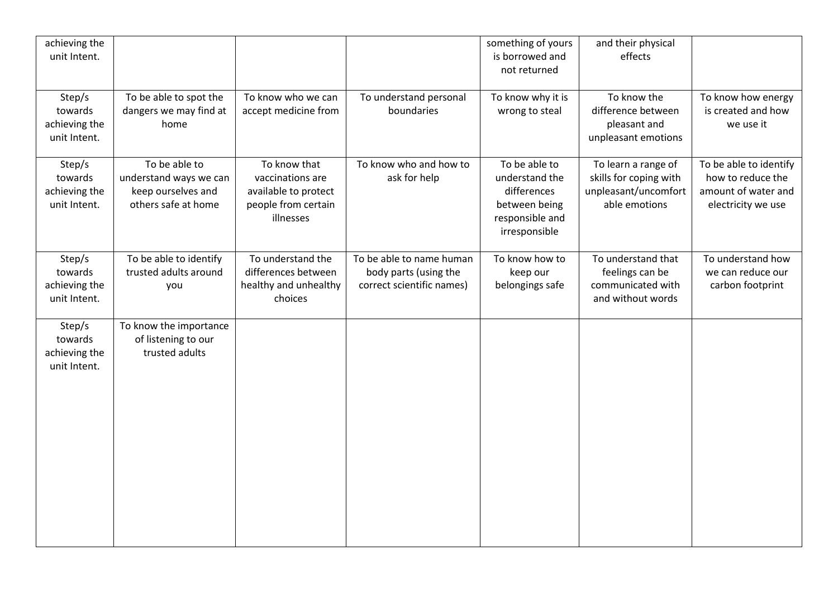| achieving the<br>unit Intent.                      |                                                                                      |                                                                                              |                                                                                | something of yours<br>is borrowed and<br>not returned                                               | and their physical<br>effects                                                          |                                                                                          |
|----------------------------------------------------|--------------------------------------------------------------------------------------|----------------------------------------------------------------------------------------------|--------------------------------------------------------------------------------|-----------------------------------------------------------------------------------------------------|----------------------------------------------------------------------------------------|------------------------------------------------------------------------------------------|
| Step/s<br>towards<br>achieving the<br>unit Intent. | To be able to spot the<br>dangers we may find at<br>home                             | To know who we can<br>accept medicine from                                                   | To understand personal<br>boundaries                                           | To know why it is<br>wrong to steal                                                                 | To know the<br>difference between<br>pleasant and<br>unpleasant emotions               | To know how energy<br>is created and how<br>we use it                                    |
| Step/s<br>towards<br>achieving the<br>unit Intent. | To be able to<br>understand ways we can<br>keep ourselves and<br>others safe at home | To know that<br>vaccinations are<br>available to protect<br>people from certain<br>illnesses | To know who and how to<br>ask for help                                         | To be able to<br>understand the<br>differences<br>between being<br>responsible and<br>irresponsible | To learn a range of<br>skills for coping with<br>unpleasant/uncomfort<br>able emotions | To be able to identify<br>how to reduce the<br>amount of water and<br>electricity we use |
| Step/s<br>towards<br>achieving the<br>unit Intent. | To be able to identify<br>trusted adults around<br>you                               | To understand the<br>differences between<br>healthy and unhealthy<br>choices                 | To be able to name human<br>body parts (using the<br>correct scientific names) | To know how to<br>keep our<br>belongings safe                                                       | To understand that<br>feelings can be<br>communicated with<br>and without words        | To understand how<br>we can reduce our<br>carbon footprint                               |
| Step/s<br>towards<br>achieving the<br>unit Intent. | To know the importance<br>of listening to our<br>trusted adults                      |                                                                                              |                                                                                |                                                                                                     |                                                                                        |                                                                                          |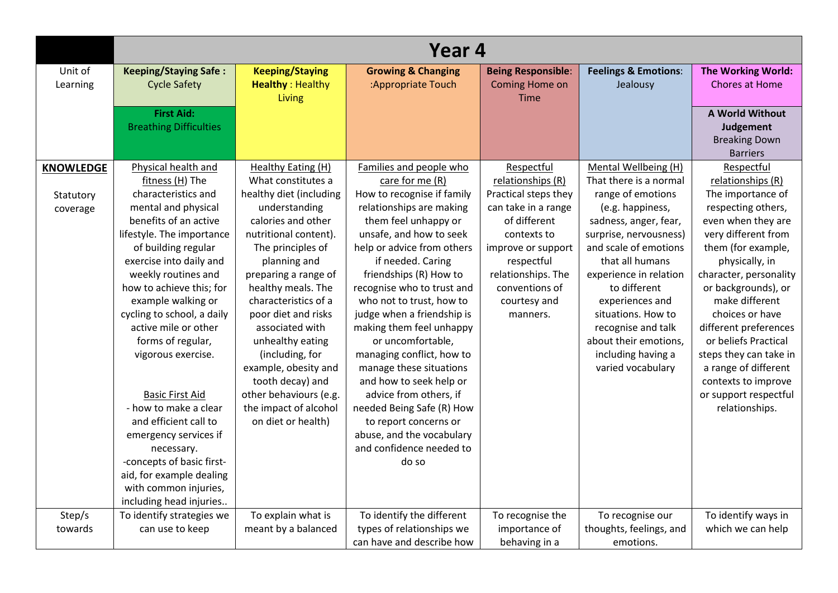|                     | Year 4                                              |                                                   |                                                     |                                             |                                             |                                                    |  |
|---------------------|-----------------------------------------------------|---------------------------------------------------|-----------------------------------------------------|---------------------------------------------|---------------------------------------------|----------------------------------------------------|--|
| Unit of<br>Learning | <b>Keeping/Staying Safe:</b><br><b>Cycle Safety</b> | <b>Keeping/Staying</b><br><b>Healthy: Healthy</b> | <b>Growing &amp; Changing</b><br>:Appropriate Touch | <b>Being Responsible:</b><br>Coming Home on | <b>Feelings &amp; Emotions:</b><br>Jealousy | <b>The Working World:</b><br><b>Chores at Home</b> |  |
|                     |                                                     | Living                                            |                                                     | <b>Time</b>                                 |                                             |                                                    |  |
|                     | <b>First Aid:</b>                                   |                                                   |                                                     |                                             |                                             | A World Without                                    |  |
|                     | <b>Breathing Difficulties</b>                       |                                                   |                                                     |                                             |                                             | Judgement<br><b>Breaking Down</b>                  |  |
|                     |                                                     |                                                   |                                                     |                                             |                                             | <b>Barriers</b>                                    |  |
| <b>KNOWLEDGE</b>    | Physical health and                                 | Healthy Eating (H)                                | Families and people who                             | Respectful                                  | Mental Wellbeing (H)                        | Respectful                                         |  |
|                     | fitness (H) The                                     | What constitutes a                                | care for me (R)                                     | relationships (R)                           | That there is a normal                      | relationships (R)                                  |  |
| Statutory           | characteristics and                                 | healthy diet (including                           | How to recognise if family                          | Practical steps they                        | range of emotions                           | The importance of                                  |  |
| coverage            | mental and physical                                 | understanding                                     | relationships are making                            | can take in a range                         | (e.g. happiness,                            | respecting others,                                 |  |
|                     | benefits of an active                               | calories and other                                | them feel unhappy or                                | of different                                | sadness, anger, fear,                       | even when they are                                 |  |
|                     | lifestyle. The importance                           | nutritional content).                             | unsafe, and how to seek                             | contexts to                                 | surprise, nervousness)                      | very different from                                |  |
|                     | of building regular                                 | The principles of                                 | help or advice from others                          | improve or support                          | and scale of emotions                       | them (for example,                                 |  |
|                     | exercise into daily and                             | planning and                                      | if needed. Caring                                   | respectful                                  | that all humans                             | physically, in                                     |  |
|                     | weekly routines and                                 | preparing a range of                              | friendships (R) How to                              | relationships. The                          | experience in relation                      | character, personality                             |  |
|                     | how to achieve this; for                            | healthy meals. The                                | recognise who to trust and                          | conventions of                              | to different                                | or backgrounds), or                                |  |
|                     | example walking or                                  | characteristics of a                              | who not to trust, how to                            | courtesy and                                | experiences and                             | make different                                     |  |
|                     | cycling to school, a daily                          | poor diet and risks                               | judge when a friendship is                          | manners.                                    | situations. How to                          | choices or have                                    |  |
|                     | active mile or other                                | associated with                                   | making them feel unhappy                            |                                             | recognise and talk                          | different preferences                              |  |
|                     | forms of regular,                                   | unhealthy eating                                  | or uncomfortable,                                   |                                             | about their emotions,                       | or beliefs Practical                               |  |
|                     | vigorous exercise.                                  | (including, for                                   | managing conflict, how to                           |                                             | including having a                          | steps they can take in                             |  |
|                     |                                                     | example, obesity and                              | manage these situations                             |                                             | varied vocabulary                           | a range of different                               |  |
|                     |                                                     | tooth decay) and                                  | and how to seek help or                             |                                             |                                             | contexts to improve                                |  |
|                     | <b>Basic First Aid</b>                              | other behaviours (e.g.                            | advice from others, if                              |                                             |                                             | or support respectful                              |  |
|                     | - how to make a clear                               | the impact of alcohol                             | needed Being Safe (R) How                           |                                             |                                             | relationships.                                     |  |
|                     | and efficient call to                               | on diet or health)                                | to report concerns or                               |                                             |                                             |                                                    |  |
|                     | emergency services if                               |                                                   | abuse, and the vocabulary                           |                                             |                                             |                                                    |  |
|                     | necessary.                                          |                                                   | and confidence needed to                            |                                             |                                             |                                                    |  |
|                     | -concepts of basic first-                           |                                                   | do so                                               |                                             |                                             |                                                    |  |
|                     | aid, for example dealing                            |                                                   |                                                     |                                             |                                             |                                                    |  |
|                     | with common injuries,                               |                                                   |                                                     |                                             |                                             |                                                    |  |
|                     | including head injuries                             |                                                   |                                                     |                                             |                                             |                                                    |  |
| Step/s              | To identify strategies we                           | To explain what is                                | To identify the different                           | To recognise the                            | To recognise our                            | To identify ways in                                |  |
| towards             | can use to keep                                     | meant by a balanced                               | types of relationships we                           | importance of                               | thoughts, feelings, and                     | which we can help                                  |  |
|                     |                                                     |                                                   | can have and describe how                           | behaving in a                               | emotions.                                   |                                                    |  |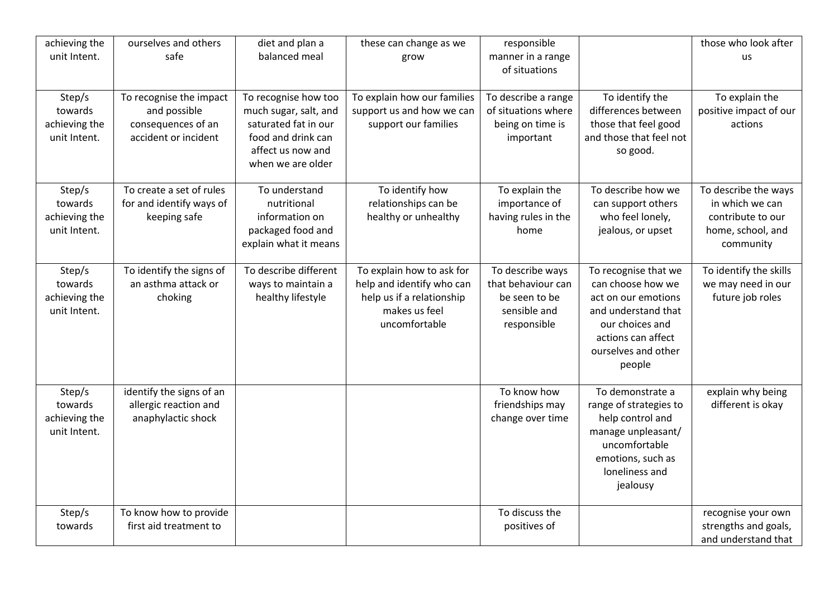| achieving the<br>unit Intent.                      | ourselves and others<br>safe                                                          | diet and plan a<br>balanced meal                                                                                                      | these can change as we<br>grow                                                                                        | responsible<br>manner in a range<br>of situations                                      |                                                                                                                                                                   | those who look after<br><b>us</b>                                                              |
|----------------------------------------------------|---------------------------------------------------------------------------------------|---------------------------------------------------------------------------------------------------------------------------------------|-----------------------------------------------------------------------------------------------------------------------|----------------------------------------------------------------------------------------|-------------------------------------------------------------------------------------------------------------------------------------------------------------------|------------------------------------------------------------------------------------------------|
| Step/s<br>towards<br>achieving the<br>unit Intent. | To recognise the impact<br>and possible<br>consequences of an<br>accident or incident | To recognise how too<br>much sugar, salt, and<br>saturated fat in our<br>food and drink can<br>affect us now and<br>when we are older | To explain how our families<br>support us and how we can<br>support our families                                      | To describe a range<br>of situations where<br>being on time is<br>important            | To identify the<br>differences between<br>those that feel good<br>and those that feel not<br>so good.                                                             | To explain the<br>positive impact of our<br>actions                                            |
| Step/s<br>towards<br>achieving the<br>unit Intent. | To create a set of rules<br>for and identify ways of<br>keeping safe                  | To understand<br>nutritional<br>information on<br>packaged food and<br>explain what it means                                          | To identify how<br>relationships can be<br>healthy or unhealthy                                                       | To explain the<br>importance of<br>having rules in the<br>home                         | To describe how we<br>can support others<br>who feel lonely,<br>jealous, or upset                                                                                 | To describe the ways<br>in which we can<br>contribute to our<br>home, school, and<br>community |
| Step/s<br>towards<br>achieving the<br>unit Intent. | To identify the signs of<br>an asthma attack or<br>choking                            | To describe different<br>ways to maintain a<br>healthy lifestyle                                                                      | To explain how to ask for<br>help and identify who can<br>help us if a relationship<br>makes us feel<br>uncomfortable | To describe ways<br>that behaviour can<br>be seen to be<br>sensible and<br>responsible | To recognise that we<br>can choose how we<br>act on our emotions<br>and understand that<br>our choices and<br>actions can affect<br>ourselves and other<br>people | To identify the skills<br>we may need in our<br>future job roles                               |
| Step/s<br>towards<br>achieving the<br>unit Intent. | identify the signs of an<br>allergic reaction and<br>anaphylactic shock               |                                                                                                                                       |                                                                                                                       | To know how<br>friendships may<br>change over time                                     | To demonstrate a<br>range of strategies to<br>help control and<br>manage unpleasant/<br>uncomfortable<br>emotions, such as<br>loneliness and<br>jealousy          | explain why being<br>different is okay                                                         |
| Step/s<br>towards                                  | To know how to provide<br>first aid treatment to                                      |                                                                                                                                       |                                                                                                                       | To discuss the<br>positives of                                                         |                                                                                                                                                                   | recognise your own<br>strengths and goals,<br>and understand that                              |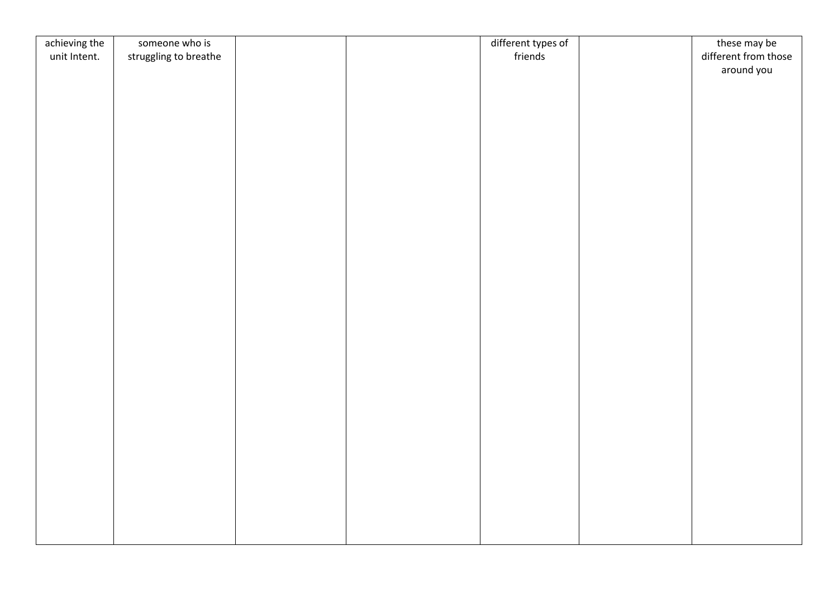| achieving the | someone who is        |  | different types of | these may be         |
|---------------|-----------------------|--|--------------------|----------------------|
| unit Intent.  | struggling to breathe |  | friends            | different from those |
|               |                       |  |                    | around you           |
|               |                       |  |                    |                      |
|               |                       |  |                    |                      |
|               |                       |  |                    |                      |
|               |                       |  |                    |                      |
|               |                       |  |                    |                      |
|               |                       |  |                    |                      |
|               |                       |  |                    |                      |
|               |                       |  |                    |                      |
|               |                       |  |                    |                      |
|               |                       |  |                    |                      |
|               |                       |  |                    |                      |
|               |                       |  |                    |                      |
|               |                       |  |                    |                      |
|               |                       |  |                    |                      |
|               |                       |  |                    |                      |
|               |                       |  |                    |                      |
|               |                       |  |                    |                      |
|               |                       |  |                    |                      |
|               |                       |  |                    |                      |
|               |                       |  |                    |                      |
|               |                       |  |                    |                      |
|               |                       |  |                    |                      |
|               |                       |  |                    |                      |
|               |                       |  |                    |                      |
|               |                       |  |                    |                      |
|               |                       |  |                    |                      |
|               |                       |  |                    |                      |
|               |                       |  |                    |                      |
|               |                       |  |                    |                      |
|               |                       |  |                    |                      |
|               |                       |  |                    |                      |
|               |                       |  |                    |                      |
|               |                       |  |                    |                      |
|               |                       |  |                    |                      |
|               |                       |  |                    |                      |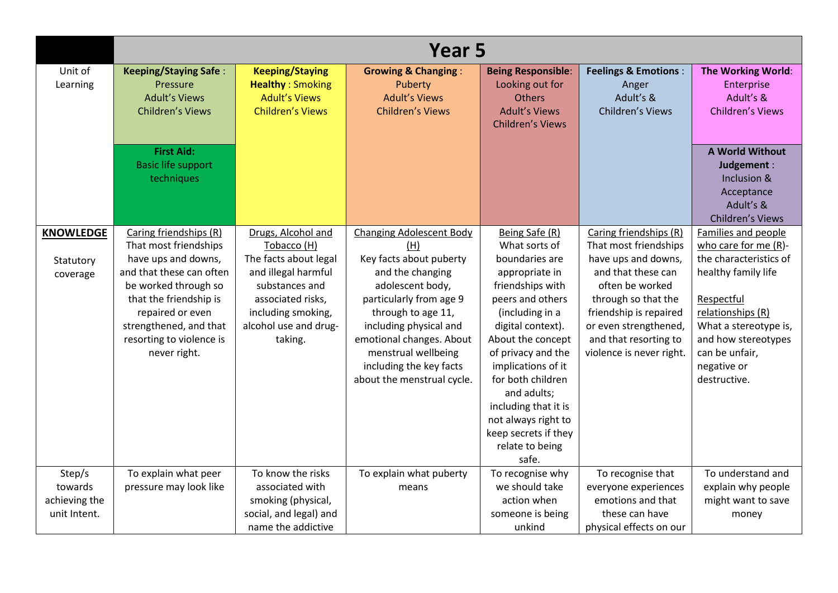|                     | Year 5                                   |                                                   |                                           |                                              |                                          |                                  |  |
|---------------------|------------------------------------------|---------------------------------------------------|-------------------------------------------|----------------------------------------------|------------------------------------------|----------------------------------|--|
| Unit of<br>Learning | <b>Keeping/Staying Safe:</b><br>Pressure | <b>Keeping/Staying</b><br><b>Healthy: Smoking</b> | <b>Growing &amp; Changing:</b><br>Puberty | <b>Being Responsible:</b><br>Looking out for | <b>Feelings &amp; Emotions:</b><br>Anger | The Working World:<br>Enterprise |  |
|                     | <b>Adult's Views</b>                     | <b>Adult's Views</b>                              | <b>Adult's Views</b>                      | <b>Others</b>                                | Adult's &                                | Adult's &                        |  |
|                     | <b>Children's Views</b>                  | <b>Children's Views</b>                           | <b>Children's Views</b>                   | <b>Adult's Views</b>                         | Children's Views                         | <b>Children's Views</b>          |  |
|                     |                                          |                                                   |                                           | <b>Children's Views</b>                      |                                          |                                  |  |
|                     |                                          |                                                   |                                           |                                              |                                          |                                  |  |
|                     | <b>First Aid:</b>                        |                                                   |                                           |                                              |                                          | <b>A World Without</b>           |  |
|                     | <b>Basic life support</b>                |                                                   |                                           |                                              |                                          | Judgement :                      |  |
|                     | techniques                               |                                                   |                                           |                                              |                                          | Inclusion &                      |  |
|                     |                                          |                                                   |                                           |                                              |                                          | Acceptance                       |  |
|                     |                                          |                                                   |                                           |                                              |                                          | Adult's &                        |  |
|                     |                                          |                                                   |                                           |                                              |                                          | Children's Views                 |  |
| <b>KNOWLEDGE</b>    | Caring friendships (R)                   | Drugs, Alcohol and                                | <b>Changing Adolescent Body</b>           | Being Safe (R)                               | Caring friendships (R)                   | Families and people              |  |
|                     | That most friendships                    | Tobacco (H)                                       | (H)                                       | What sorts of                                | That most friendships                    | who care for me $(R)$ -          |  |
| Statutory           | have ups and downs,                      | The facts about legal                             | Key facts about puberty                   | boundaries are                               | have ups and downs,                      | the characteristics of           |  |
| coverage            | and that these can often                 | and illegal harmful                               | and the changing                          | appropriate in                               | and that these can                       | healthy family life              |  |
|                     | be worked through so                     | substances and                                    | adolescent body,                          | friendships with                             | often be worked                          |                                  |  |
|                     | that the friendship is                   | associated risks,                                 | particularly from age 9                   | peers and others                             | through so that the                      | Respectful                       |  |
|                     | repaired or even                         | including smoking,                                | through to age 11,                        | (including in a                              | friendship is repaired                   | relationships (R)                |  |
|                     | strengthened, and that                   | alcohol use and drug-                             | including physical and                    | digital context).                            | or even strengthened,                    | What a stereotype is,            |  |
|                     | resorting to violence is                 | taking.                                           | emotional changes. About                  | About the concept                            | and that resorting to                    | and how stereotypes              |  |
|                     | never right.                             |                                                   | menstrual wellbeing                       | of privacy and the                           | violence is never right.                 | can be unfair,                   |  |
|                     |                                          |                                                   | including the key facts                   | implications of it                           |                                          | negative or                      |  |
|                     |                                          |                                                   | about the menstrual cycle.                | for both children                            |                                          | destructive.                     |  |
|                     |                                          |                                                   |                                           | and adults;                                  |                                          |                                  |  |
|                     |                                          |                                                   |                                           | including that it is                         |                                          |                                  |  |
|                     |                                          |                                                   |                                           | not always right to                          |                                          |                                  |  |
|                     |                                          |                                                   |                                           | keep secrets if they                         |                                          |                                  |  |
|                     |                                          |                                                   |                                           | relate to being                              |                                          |                                  |  |
|                     |                                          |                                                   |                                           | safe.                                        |                                          |                                  |  |
| Step/s              | To explain what peer                     | To know the risks                                 | To explain what puberty                   | To recognise why                             | To recognise that                        | To understand and                |  |
| towards             | pressure may look like                   | associated with                                   | means                                     | we should take                               | everyone experiences                     | explain why people               |  |
| achieving the       |                                          | smoking (physical,                                |                                           | action when                                  | emotions and that                        | might want to save               |  |
| unit Intent.        |                                          | social, and legal) and                            |                                           | someone is being                             | these can have                           | money                            |  |
|                     |                                          | name the addictive                                |                                           | unkind                                       | physical effects on our                  |                                  |  |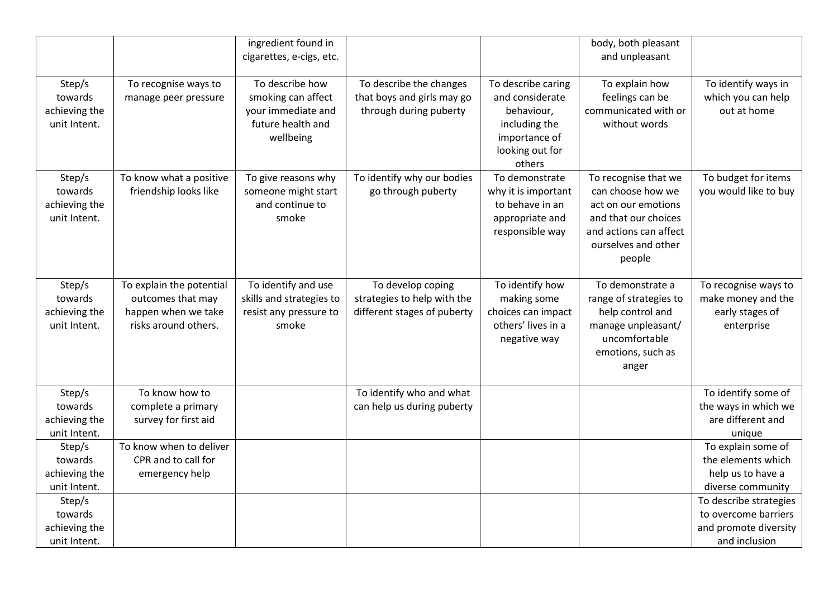|                                                    |                                                                                              | ingredient found in<br>cigarettes, e-cigs, etc.                                               |                                                                                 |                                                                                                                    | body, both pleasant<br>and unpleasant                                                                                                               |                                                                                          |
|----------------------------------------------------|----------------------------------------------------------------------------------------------|-----------------------------------------------------------------------------------------------|---------------------------------------------------------------------------------|--------------------------------------------------------------------------------------------------------------------|-----------------------------------------------------------------------------------------------------------------------------------------------------|------------------------------------------------------------------------------------------|
| Step/s<br>towards<br>achieving the<br>unit Intent. | To recognise ways to<br>manage peer pressure                                                 | To describe how<br>smoking can affect<br>your immediate and<br>future health and<br>wellbeing | To describe the changes<br>that boys and girls may go<br>through during puberty | To describe caring<br>and considerate<br>behaviour,<br>including the<br>importance of<br>looking out for<br>others | To explain how<br>feelings can be<br>communicated with or<br>without words                                                                          | To identify ways in<br>which you can help<br>out at home                                 |
| Step/s<br>towards<br>achieving the<br>unit Intent. | To know what a positive<br>friendship looks like                                             | To give reasons why<br>someone might start<br>and continue to<br>smoke                        | To identify why our bodies<br>go through puberty                                | To demonstrate<br>why it is important<br>to behave in an<br>appropriate and<br>responsible way                     | To recognise that we<br>can choose how we<br>act on our emotions<br>and that our choices<br>and actions can affect<br>ourselves and other<br>people | To budget for items<br>you would like to buy                                             |
| Step/s<br>towards<br>achieving the<br>unit Intent. | To explain the potential<br>outcomes that may<br>happen when we take<br>risks around others. | To identify and use<br>skills and strategies to<br>resist any pressure to<br>smoke            | To develop coping<br>strategies to help with the<br>different stages of puberty | To identify how<br>making some<br>choices can impact<br>others' lives in a<br>negative way                         | To demonstrate a<br>range of strategies to<br>help control and<br>manage unpleasant/<br>uncomfortable<br>emotions, such as<br>anger                 | To recognise ways to<br>make money and the<br>early stages of<br>enterprise              |
| Step/s<br>towards<br>achieving the<br>unit Intent. | To know how to<br>complete a primary<br>survey for first aid                                 |                                                                                               | To identify who and what<br>can help us during puberty                          |                                                                                                                    |                                                                                                                                                     | To identify some of<br>the ways in which we<br>are different and<br>unique               |
| Step/s<br>towards<br>achieving the<br>unit Intent. | To know when to deliver<br>CPR and to call for<br>emergency help                             |                                                                                               |                                                                                 |                                                                                                                    |                                                                                                                                                     | To explain some of<br>the elements which<br>help us to have a<br>diverse community       |
| Step/s<br>towards<br>achieving the<br>unit Intent. |                                                                                              |                                                                                               |                                                                                 |                                                                                                                    |                                                                                                                                                     | To describe strategies<br>to overcome barriers<br>and promote diversity<br>and inclusion |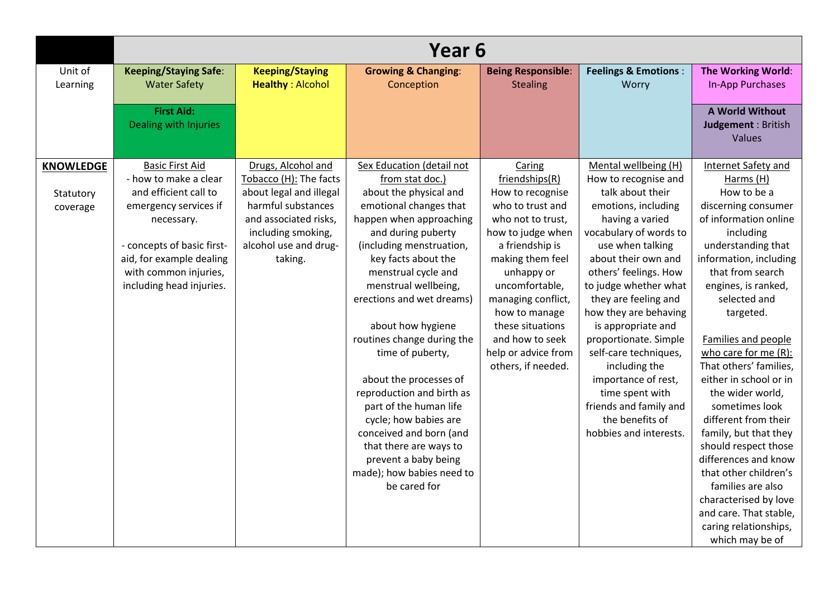|                  | Year 6                       |                         |                                |                           |                                 |                               |  |  |  |
|------------------|------------------------------|-------------------------|--------------------------------|---------------------------|---------------------------------|-------------------------------|--|--|--|
| Unit of          | <b>Keeping/Staying Safe:</b> | <b>Keeping/Staying</b>  | <b>Growing &amp; Changing:</b> | <b>Being Responsible:</b> | <b>Feelings &amp; Emotions:</b> | The Working World:            |  |  |  |
| Learning         | <b>Water Safety</b>          | <b>Healthy: Alcohol</b> | Conception                     | <b>Stealing</b>           | Worry                           | In-App Purchases              |  |  |  |
|                  | <b>First Aid:</b>            |                         |                                |                           |                                 | A World Without               |  |  |  |
|                  | Dealing with Injuries        |                         |                                |                           |                                 | Judgement : British<br>Values |  |  |  |
|                  |                              |                         |                                |                           |                                 |                               |  |  |  |
| <b>KNOWLEDGE</b> | <b>Basic First Aid</b>       | Drugs, Alcohol and      | Sex Education (detail not      | Caring                    | Mental wellbeing (H)            | Internet Safety and           |  |  |  |
|                  | - how to make a clear        | Tobacco (H): The facts  | from stat doc.)                | friendships(R)            | How to recognise and            | Harms (H)                     |  |  |  |
| Statutory        | and efficient call to        | about legal and illegal | about the physical and         | How to recognise          | talk about their                | How to be a                   |  |  |  |
| coverage         | emergency services if        | harmful substances      | emotional changes that         | who to trust and          | emotions, including             | discerning consumer           |  |  |  |
|                  | necessary.                   | and associated risks,   | happen when approaching        | who not to trust,         | having a varied                 | of information online         |  |  |  |
|                  |                              | including smoking,      | and during puberty             | how to judge when         | vocabulary of words to          | including                     |  |  |  |
|                  | - concepts of basic first-   | alcohol use and drug-   | (including menstruation,       | a friendship is           | use when talking                | understanding that            |  |  |  |
|                  | aid, for example dealing     | taking.                 | key facts about the            | making them feel          | about their own and             | information, including        |  |  |  |
|                  | with common injuries,        |                         | menstrual cycle and            | unhappy or                | others' feelings. How           | that from search              |  |  |  |
|                  | including head injuries.     |                         | menstrual wellbeing,           | uncomfortable,            | to judge whether what           | engines, is ranked,           |  |  |  |
|                  |                              |                         | erections and wet dreams)      | managing conflict,        | they are feeling and            | selected and                  |  |  |  |
|                  |                              |                         |                                | how to manage             | how they are behaving           | targeted.                     |  |  |  |
|                  |                              |                         | about how hygiene              | these situations          | is appropriate and              |                               |  |  |  |
|                  |                              |                         | routines change during the     | and how to seek           | proportionate. Simple           | Families and people           |  |  |  |
|                  |                              |                         | time of puberty,               | help or advice from       | self-care techniques,           | who care for me $(R)$ :       |  |  |  |
|                  |                              |                         |                                | others, if needed.        | including the                   | That others' families,        |  |  |  |
|                  |                              |                         | about the processes of         |                           | importance of rest,             | either in school or in        |  |  |  |
|                  |                              |                         | reproduction and birth as      |                           | time spent with                 | the wider world,              |  |  |  |
|                  |                              |                         | part of the human life         |                           | friends and family and          | sometimes look                |  |  |  |
|                  |                              |                         | cycle; how babies are          |                           | the benefits of                 | different from their          |  |  |  |
|                  |                              |                         | conceived and born (and        |                           | hobbies and interests.          | family, but that they         |  |  |  |
|                  |                              |                         | that there are ways to         |                           |                                 | should respect those          |  |  |  |
|                  |                              |                         | prevent a baby being           |                           |                                 | differences and know          |  |  |  |
|                  |                              |                         | made); how babies need to      |                           |                                 | that other children's         |  |  |  |
|                  |                              |                         | be cared for                   |                           |                                 | families are also             |  |  |  |
|                  |                              |                         |                                |                           |                                 | characterised by love         |  |  |  |
|                  |                              |                         |                                |                           |                                 | and care. That stable,        |  |  |  |
|                  |                              |                         |                                |                           |                                 | caring relationships,         |  |  |  |
|                  |                              |                         |                                |                           |                                 | which may be of               |  |  |  |